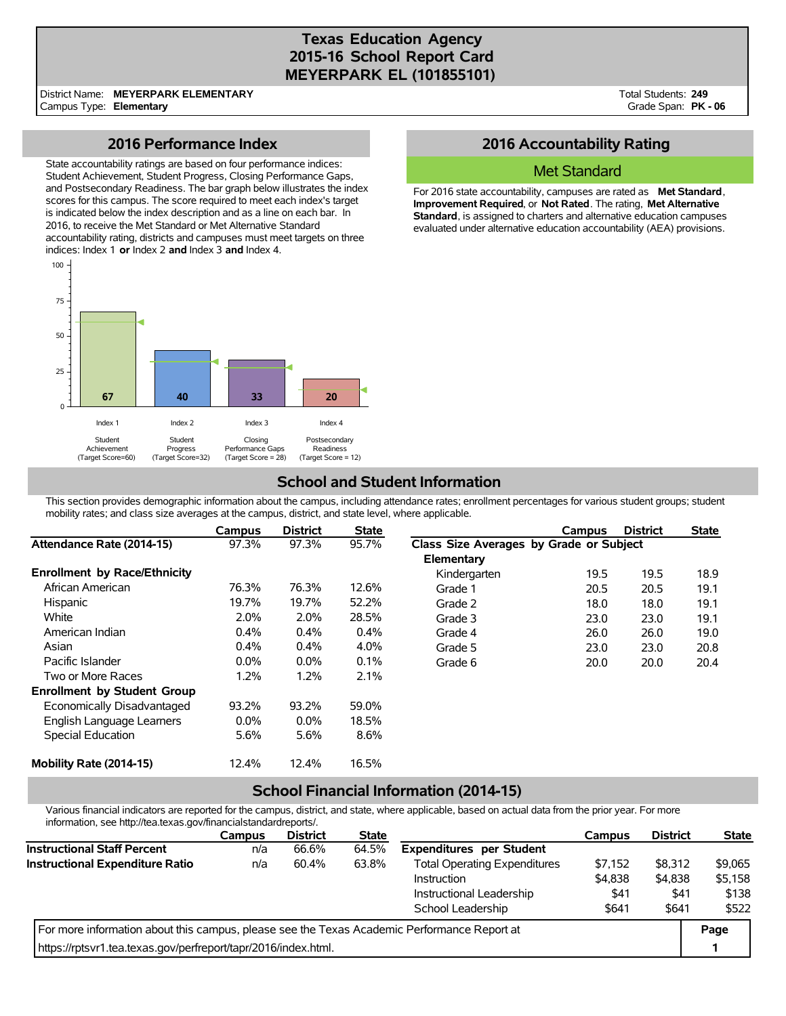## **Texas Education Agency 2015-16 School Report Card MEYERPARK EL (101855101)**

District Name: **MEYERPARK ELEMENTARY** Campus Type: **Elementary**

Total Students: **249** Grade Span: **PK - 06**

### **2016 Performance Index**

State accountability ratings are based on four performance indices: Student Achievement, Student Progress, Closing Performance Gaps, and Postsecondary Readiness. The bar graph below illustrates the index scores for this campus. The score required to meet each index's target is indicated below the index description and as a line on each bar. In 2016, to receive the Met Standard or Met Alternative Standard accountability rating, districts and campuses must meet targets on three indices: Index 1 **or** Index 2 **and** Index 3 **and** Index 4.



## **2016 Accountability Rating**

#### Met Standard

For 2016 state accountability, campuses are rated as **Met Standard**, **Improvement Required**, or **Not Rated**. The rating, **Met Alternative Standard**, is assigned to charters and alternative education campuses evaluated under alternative education accountability (AEA) provisions.

# **School and Student Information**

This section provides demographic information about the campus, including attendance rates; enrollment percentages for various student groups; student mobility rates; and class size averages at the campus, district, and state level, where applicable.

|                                     | Campus  | <b>District</b> | <b>State</b> |                                         | Campus | <b>District</b> | <b>State</b> |
|-------------------------------------|---------|-----------------|--------------|-----------------------------------------|--------|-----------------|--------------|
| Attendance Rate (2014-15)           | 97.3%   | 97.3%           | 95.7%        | Class Size Averages by Grade or Subject |        |                 |              |
|                                     |         |                 |              | Elementary                              |        |                 |              |
| <b>Enrollment by Race/Ethnicity</b> |         |                 |              | Kindergarten                            | 19.5   | 19.5            | 18.9         |
| African American                    | 76.3%   | 76.3%           | 12.6%        | Grade 1                                 | 20.5   | 20.5            | 19.1         |
| <b>Hispanic</b>                     | 19.7%   | 19.7%           | 52.2%        | Grade 2                                 | 18.0   | 18.0            | 19.1         |
| White                               | 2.0%    | 2.0%            | 28.5%        | Grade 3                                 | 23.0   | 23.0            | 19.1         |
| American Indian                     | 0.4%    | $0.4\%$         | 0.4%         | Grade 4                                 | 26.0   | 26.0            | 19.0         |
| Asian                               | 0.4%    | $0.4\%$         | 4.0%         | Grade 5                                 | 23.0   | 23.0            | 20.8         |
| Pacific Islander                    | $0.0\%$ | $0.0\%$         | 0.1%         | Grade 6                                 | 20.0   | 20.0            | 20.4         |
| Two or More Races                   | 1.2%    | 1.2%            | 2.1%         |                                         |        |                 |              |
| <b>Enrollment by Student Group</b>  |         |                 |              |                                         |        |                 |              |
| Economically Disadvantaged          | 93.2%   | 93.2%           | 59.0%        |                                         |        |                 |              |
| English Language Learners           | $0.0\%$ | $0.0\%$         | 18.5%        |                                         |        |                 |              |
| Special Education                   | 5.6%    | 5.6%            | 8.6%         |                                         |        |                 |              |
| Mobility Rate (2014-15)             | 12.4%   | 12.4%           | 16.5%        |                                         |        |                 |              |

## **School Financial Information (2014-15)**

Various financial indicators are reported for the campus, district, and state, where applicable, based on actual data from the prior year. For more information, see http://tea.texas.gov/financialstandardreports/.

|                                                                                             | <b>Campus</b> | <b>District</b> | <b>State</b> |                                     | <b>Campus</b> | <b>District</b> | <b>State</b> |
|---------------------------------------------------------------------------------------------|---------------|-----------------|--------------|-------------------------------------|---------------|-----------------|--------------|
| <b>Instructional Staff Percent</b>                                                          | n/a           | 66.6%           | 64.5%        | <b>Expenditures per Student</b>     |               |                 |              |
| Instructional Expenditure Ratio                                                             | n/a           | 60.4%           | 63.8%        | <b>Total Operating Expenditures</b> | \$7.152       | \$8.312         | \$9,065      |
|                                                                                             |               |                 |              | Instruction                         | \$4,838       | \$4,838         | \$5,158      |
|                                                                                             |               |                 |              | Instructional Leadership            | \$41          | \$41            | \$138        |
|                                                                                             |               |                 |              | School Leadership                   | \$641         | \$641           | \$522        |
| For more information about this campus, please see the Texas Academic Performance Report at |               |                 |              |                                     |               |                 | Page         |
| https://rptsvr1.tea.texas.gov/perfreport/tapr/2016/index.html.                              |               |                 |              |                                     |               |                 |              |